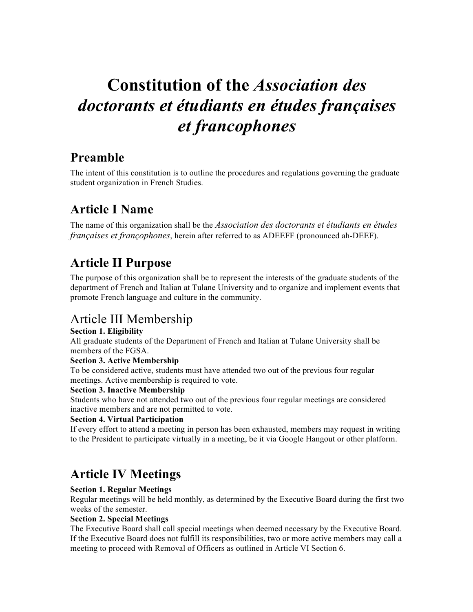# **Constitution of the** *Association des doctorants et étudiants en études françaises et francophones*

# **Preamble**

The intent of this constitution is to outline the procedures and regulations governing the graduate student organization in French Studies.

# **Article I Name**

The name of this organization shall be the *Association des doctorants et étudiants en études françaises et françophones*, herein after referred to as ADEEFF (pronounced ah-DEEF).

# **Article II Purpose**

The purpose of this organization shall be to represent the interests of the graduate students of the department of French and Italian at Tulane University and to organize and implement events that promote French language and culture in the community.

# Article III Membership

### **Section 1. Eligibility**

All graduate students of the Department of French and Italian at Tulane University shall be members of the FGSA.

### **Section 3. Active Membership**

To be considered active, students must have attended two out of the previous four regular meetings. Active membership is required to vote.

### **Section 3. Inactive Membership**

Students who have not attended two out of the previous four regular meetings are considered inactive members and are not permitted to vote.

### **Section 4. Virtual Participation**

If every effort to attend a meeting in person has been exhausted, members may request in writing to the President to participate virtually in a meeting, be it via Google Hangout or other platform.

# **Article IV Meetings**

### **Section 1. Regular Meetings**

Regular meetings will be held monthly, as determined by the Executive Board during the first two weeks of the semester.

### **Section 2. Special Meetings**

The Executive Board shall call special meetings when deemed necessary by the Executive Board. If the Executive Board does not fulfill its responsibilities, two or more active members may call a meeting to proceed with Removal of Officers as outlined in Article VI Section 6.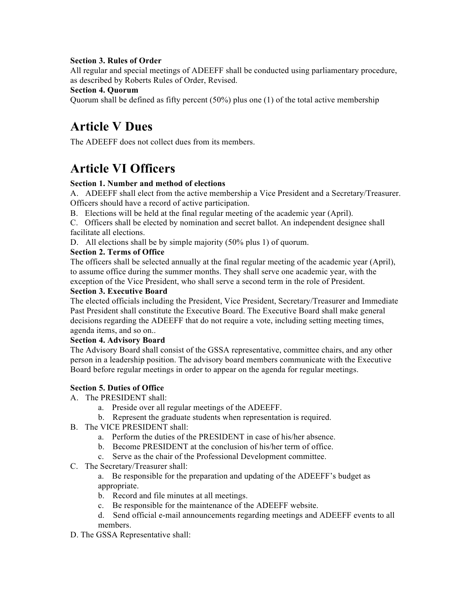### **Section 3. Rules of Order**

All regular and special meetings of ADEEFF shall be conducted using parliamentary procedure, as described by Roberts Rules of Order, Revised.

#### **Section 4. Quorum**

Quorum shall be defined as fifty percent  $(50\%)$  plus one (1) of the total active membership

# **Article V Dues**

The ADEEFF does not collect dues from its members.

### **Article VI Officers**

### **Section 1. Number and method of elections**

A. ADEEFF shall elect from the active membership a Vice President and a Secretary/Treasurer. Officers should have a record of active participation.

B. Elections will be held at the final regular meeting of the academic year (April).

C. Officers shall be elected by nomination and secret ballot. An independent designee shall facilitate all elections.

D. All elections shall be by simple majority (50% plus 1) of quorum.

### **Section 2. Terms of Office**

The officers shall be selected annually at the final regular meeting of the academic year (April), to assume office during the summer months. They shall serve one academic year, with the exception of the Vice President, who shall serve a second term in the role of President.

### **Section 3. Executive Board**

The elected officials including the President, Vice President, Secretary/Treasurer and Immediate Past President shall constitute the Executive Board. The Executive Board shall make general decisions regarding the ADEEFF that do not require a vote, including setting meeting times, agenda items, and so on..

### **Section 4. Advisory Board**

The Advisory Board shall consist of the GSSA representative, committee chairs, and any other person in a leadership position. The advisory board members communicate with the Executive Board before regular meetings in order to appear on the agenda for regular meetings.

### **Section 5. Duties of Office**

A. The PRESIDENT shall:

- a. Preside over all regular meetings of the ADEEFF.
- b. Represent the graduate students when representation is required.
- B. The VICE PRESIDENT shall:
	- a. Perform the duties of the PRESIDENT in case of his/her absence.
	- b. Become PRESIDENT at the conclusion of his/her term of office.
	- c. Serve as the chair of the Professional Development committee.
- C. The Secretary/Treasurer shall:

a. Be responsible for the preparation and updating of the ADEEFF's budget as appropriate.

- b. Record and file minutes at all meetings.
- c. Be responsible for the maintenance of the ADEEFF website.
- d. Send official e-mail announcements regarding meetings and ADEEFF events to all members.
- D. The GSSA Representative shall: